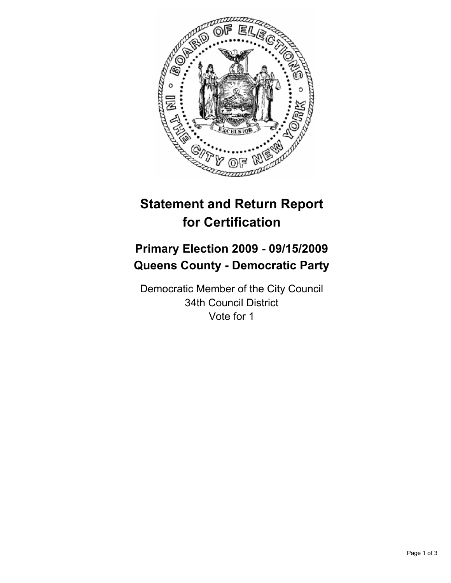

# **Statement and Return Report for Certification**

## **Primary Election 2009 - 09/15/2009 Queens County - Democratic Party**

Democratic Member of the City Council 34th Council District Vote for 1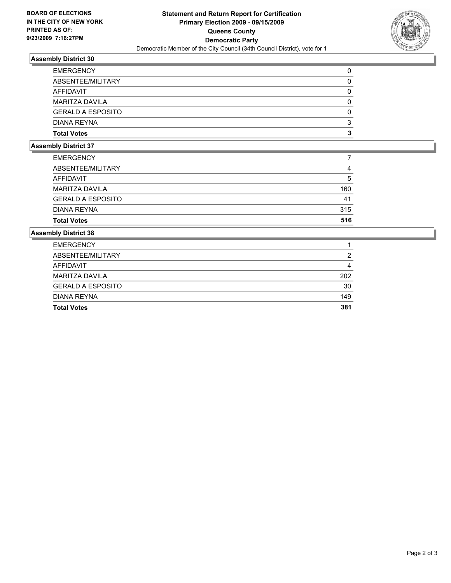

### **Assembly District 30**

| <b>EMERGENCY</b>         | 0 |
|--------------------------|---|
| ABSENTEE/MILITARY        | 0 |
| AFFIDAVIT                | 0 |
| <b>MARITZA DAVILA</b>    | 0 |
| <b>GERALD A ESPOSITO</b> | 0 |
| DIANA REYNA              | 3 |
| <b>Total Votes</b>       | 3 |

#### **Assembly District 37**

| <b>Total Votes</b>       | 516 |
|--------------------------|-----|
| <b>DIANA REYNA</b>       | 315 |
| <b>GERALD A ESPOSITO</b> | 41  |
| <b>MARITZA DAVILA</b>    | 160 |
| AFFIDAVIT                | 5   |
| ABSENTEE/MILITARY        | 4   |
| <b>EMERGENCY</b>         |     |

#### **Assembly District 38**

| <b>Total Votes</b>       | 381 |
|--------------------------|-----|
| <b>DIANA REYNA</b>       | 149 |
| <b>GERALD A ESPOSITO</b> | 30  |
| MARITZA DAVILA           | 202 |
| AFFIDAVIT                | 4   |
| ABSENTEE/MILITARY        | 2   |
| <b>EMERGENCY</b>         |     |